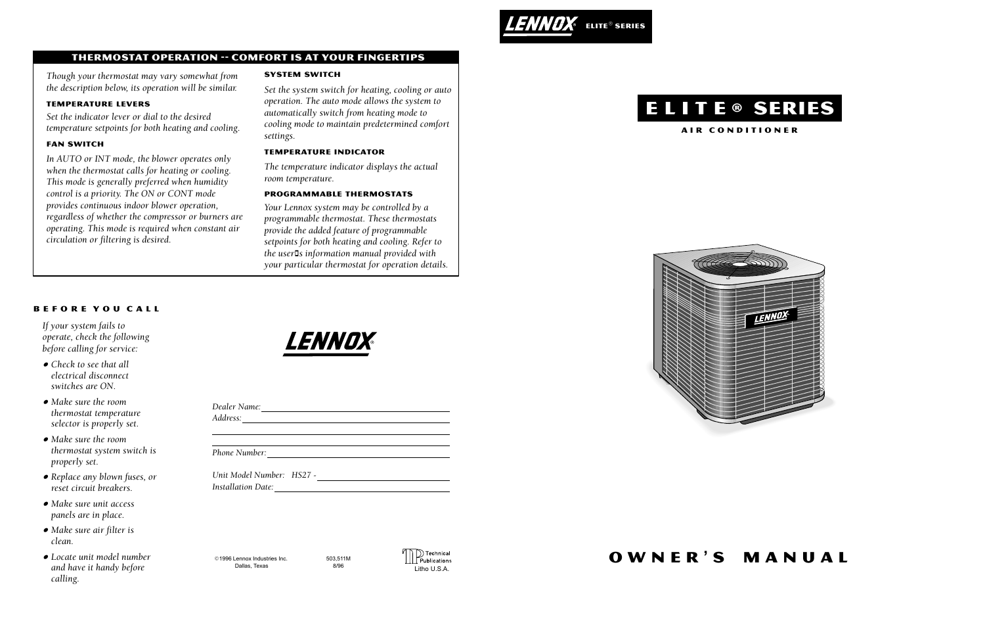## **THERMOSTAT OPERATION -- COMFORT IS AT YOUR FINGERTIPS**

Though your thermostat may vary somewhat from the description below, its operation will be similar.

## **TEMPERATURE LEVERS**

Set the indicator lever or dial to the desired temperature setpoints for both heating and cooling.

## **FAN SWITCH**

In AUTO or INT mode, the blower operates only when the thermostat calls for heating or cooling. This mode is generally preferred when humidity control is a priority. The ON or CONT mode provides continuous indoor blower operation, regardless of whether the compressor or burners are operating. This mode is required when constant air circulation or filtering is desired.

## **SYSTEM SWITCH**

Set the system switch for heating, cooling or auto operation. The auto mode allows the system to automatically switch from heating mode to cooling mode to maintain predetermined comfort settings.

## **TEMPERATURE INDICATOR**

The temperature indicator displays the actual room temperature.

## **PROGRAMMABLE THERMOSTATS**

Your Lennox system may be controlled by a programmable thermostat. These thermostats provide the added feature of programmable setpoints for both heating and cooling. Refer to the user<sup>D</sup>s information manual provided with your particular thermostat for operation details.





### **BEFORE YOU CALL**

If your system fails to operate, check the following before calling for service:

- $\bullet$  Check to see that all electrical disconnect switches are ON.
- $\bullet$  Make sure the room thermostat temperature selector is properly set.
- $\bullet$  Make sure the room thermostat system switch is properly set.
- Replace any blown fuses, or reset circuit breakers.
- Make sure unit access panels are in place.
- $\bullet$  Make sure air filter is clean.
- Locate unit model number and have it handy before calling.

| Dealer Name:              |  |
|---------------------------|--|
| Address:                  |  |
|                           |  |
|                           |  |
| Phone Number:             |  |
|                           |  |
| Unit Model Number: HS27 - |  |
| Installation Date:        |  |
|                           |  |

8/96

503,511M ©1996 Lennox Industries Inc. Dallas, Texas



## OWNER'S MANUAL